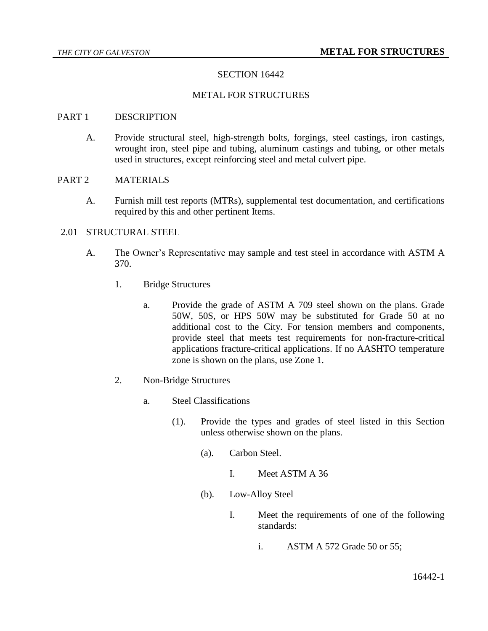# SECTION 16442

### METAL FOR STRUCTURES

#### PART 1 DESCRIPTION

A. Provide structural steel, high-strength bolts, forgings, steel castings, iron castings, wrought iron, steel pipe and tubing, aluminum castings and tubing, or other metals used in structures, except reinforcing steel and metal culvert pipe.

### PART 2 MATERIALS

A. Furnish mill test reports (MTRs), supplemental test documentation, and certifications required by this and other pertinent Items.

### 2.01 STRUCTURAL STEEL

- A. The Owner's Representative may sample and test steel in accordance with ASTM A 370.
	- 1. Bridge Structures
		- a. Provide the grade of ASTM A 709 steel shown on the plans. Grade 50W, 50S, or HPS 50W may be substituted for Grade 50 at no additional cost to the City. For tension members and components, provide steel that meets test requirements for non-fracture-critical applications fracture-critical applications. If no AASHTO temperature zone is shown on the plans, use Zone 1.
	- 2. Non-Bridge Structures
		- a. Steel Classifications
			- (1). Provide the types and grades of steel listed in this Section unless otherwise shown on the plans.
				- (a). Carbon Steel.
					- I. Meet ASTM A 36
				- (b). Low-Alloy Steel
					- I. Meet the requirements of one of the following standards:
						- i. ASTM A 572 Grade 50 or 55;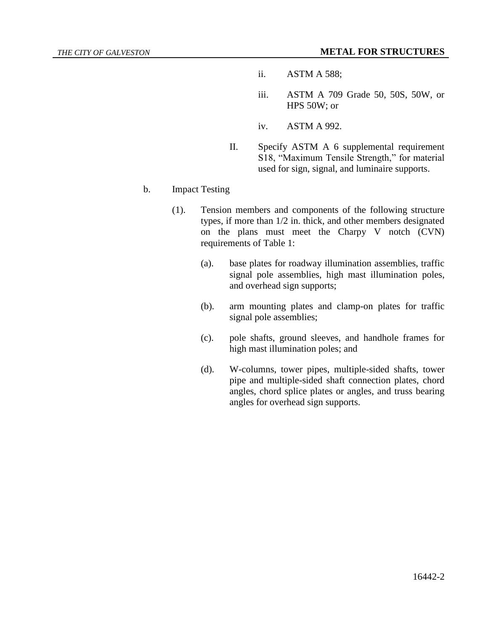- ii. ASTM A 588;
- iii. ASTM A 709 Grade 50, 50S, 50W, or HPS 50W; or
- iv. ASTM A 992.
- II. Specify ASTM A 6 supplemental requirement S18, "Maximum Tensile Strength," for material used for sign, signal, and luminaire supports.
- b. Impact Testing
	- (1). Tension members and components of the following structure types, if more than 1/2 in. thick, and other members designated on the plans must meet the Charpy V notch (CVN) requirements of Table 1:
		- (a). base plates for roadway illumination assemblies, traffic signal pole assemblies, high mast illumination poles, and overhead sign supports;
		- (b). arm mounting plates and clamp-on plates for traffic signal pole assemblies;
		- (c). pole shafts, ground sleeves, and handhole frames for high mast illumination poles; and
		- (d). W-columns, tower pipes, multiple-sided shafts, tower pipe and multiple-sided shaft connection plates, chord angles, chord splice plates or angles, and truss bearing angles for overhead sign supports.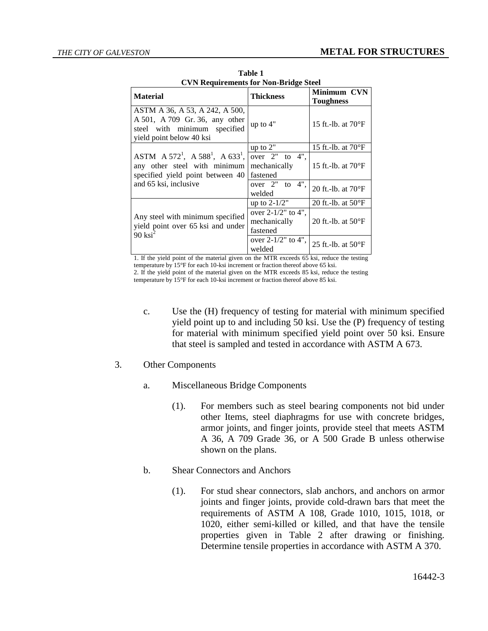| CVN Requirements for Non-Bridge Steel                                                                                                 |                                                                                      |                                                              |  |
|---------------------------------------------------------------------------------------------------------------------------------------|--------------------------------------------------------------------------------------|--------------------------------------------------------------|--|
| <b>Material</b>                                                                                                                       | <b>Thickness</b>                                                                     | <b>Minimum CVN</b>                                           |  |
|                                                                                                                                       |                                                                                      | <b>Toughness</b>                                             |  |
| ASTM A 36, A 53, A 242, A 500,<br>A 501, A 709 Gr. 36, any other<br>steel with minimum specified<br>yield point below 40 ksi          | up to 4"                                                                             | 15 ft.-1b. at $70^{\circ}$ F                                 |  |
|                                                                                                                                       | up to 2"                                                                             | 15 ft.-1b. at $70^{\circ}F$                                  |  |
| ASTM $A 572^1$ , $A 588^1$ , $A 633^1$ ,<br>any other steel with minimum<br>specified yield point between 40<br>and 65 ksi, inclusive | over 2"<br>to 4".<br>mechanically<br>fastened<br>to $4$ ",<br>over $2"$<br>welded    | 15 ft.-lb. at $70^{\circ}F$<br>20 ft.-1b. at $70^{\circ}$ F  |  |
|                                                                                                                                       | up to $2-1/2"$                                                                       | 20 ft.-1b. at $50^{\circ}$ F                                 |  |
| Any steel with minimum specified<br>yield point over 65 ksi and under<br>$90$ ksi <sup>2</sup>                                        | over $2-1/2$ " to 4",<br>mechanically<br>fastened<br>over $2-1/2$ " to 4",<br>welded | 20 ft.-1b. at $50^{\circ}$ F<br>25 ft.-1b. at $50^{\circ}$ F |  |

**Table 1 CVN Requirements for Non-Bridge Steel**

1. If the yield point of the material given on the MTR exceeds 65 ksi, reduce the testing temperature by 15°F for each 10-ksi increment or fraction thereof above 65 ksi.

2. If the yield point of the material given on the MTR exceeds 85 ksi, reduce the testing temperature by 15°F for each 10-ksi increment or fraction thereof above 85 ksi.

- c. Use the (H) frequency of testing for material with minimum specified yield point up to and including 50 ksi. Use the (P) frequency of testing for material with minimum specified yield point over 50 ksi. Ensure that steel is sampled and tested in accordance with ASTM A 673.
- 3. Other Components
	- a. Miscellaneous Bridge Components
		- (1). For members such as steel bearing components not bid under other Items, steel diaphragms for use with concrete bridges, armor joints, and finger joints, provide steel that meets ASTM A 36, A 709 Grade 36, or A 500 Grade B unless otherwise shown on the plans.
	- b. Shear Connectors and Anchors
		- (1). For stud shear connectors, slab anchors, and anchors on armor joints and finger joints, provide cold-drawn bars that meet the requirements of ASTM A 108, Grade 1010, 1015, 1018, or 1020, either semi-killed or killed, and that have the tensile properties given in Table 2 after drawing or finishing. Determine tensile properties in accordance with ASTM A 370.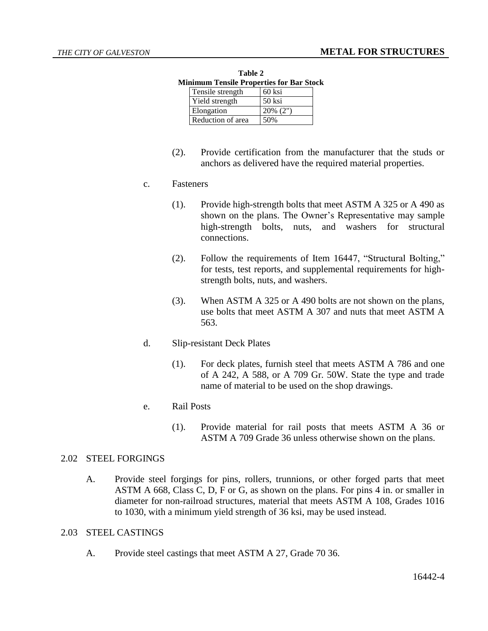| таніс 4 |                                          |             |  |
|---------|------------------------------------------|-------------|--|
|         | Minimum Tensile Properties for Bar Stock |             |  |
|         | Tensile strength                         | 60 ksi      |  |
|         | Yield strength                           | 50 ksi      |  |
|         | Elongation                               | $20\%$ (2") |  |
|         | Reduction of area                        | 50%         |  |

**Table 2**

(2). Provide certification from the manufacturer that the studs or anchors as delivered have the required material properties.

### c. Fasteners

- (1). Provide high-strength bolts that meet ASTM A 325 or A 490 as shown on the plans. The Owner's Representative may sample high-strength bolts, nuts, and washers for structural connections.
- (2). Follow the requirements of Item 16447, "Structural Bolting," for tests, test reports, and supplemental requirements for highstrength bolts, nuts, and washers.
- (3). When ASTM A 325 or A 490 bolts are not shown on the plans, use bolts that meet ASTM A 307 and nuts that meet ASTM A 563.

### d. Slip-resistant Deck Plates

(1). For deck plates, furnish steel that meets ASTM A 786 and one of A 242, A 588, or A 709 Gr. 50W. State the type and trade name of material to be used on the shop drawings.

### e. Rail Posts

(1). Provide material for rail posts that meets ASTM A 36 or ASTM A 709 Grade 36 unless otherwise shown on the plans.

## 2.02 STEEL FORGINGS

A. Provide steel forgings for pins, rollers, trunnions, or other forged parts that meet ASTM A 668, Class C, D, F or G, as shown on the plans. For pins 4 in. or smaller in diameter for non-railroad structures, material that meets ASTM A 108, Grades 1016 to 1030, with a minimum yield strength of 36 ksi, may be used instead.

#### 2.03 STEEL CASTINGS

A. Provide steel castings that meet ASTM A 27, Grade 70 36.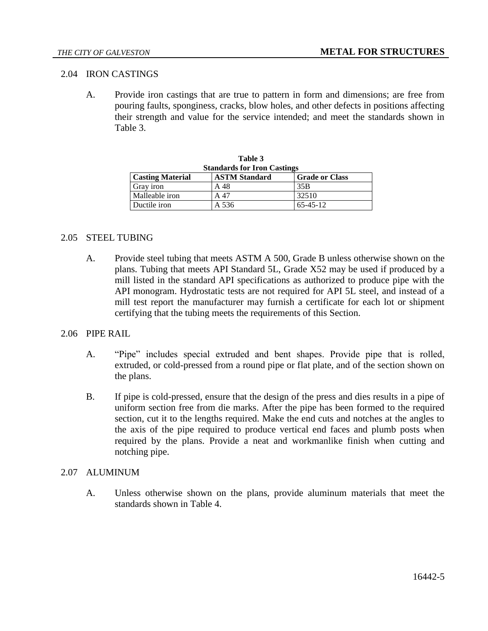## 2.04 IRON CASTINGS

A. Provide iron castings that are true to pattern in form and dimensions; are free from pouring faults, sponginess, cracks, blow holes, and other defects in positions affecting their strength and value for the service intended; and meet the standards shown in Table 3.

| Table 3                                                                  |       |                 |  |  |
|--------------------------------------------------------------------------|-------|-----------------|--|--|
| <b>Standards for Iron Castings</b>                                       |       |                 |  |  |
| <b>ASTM Standard</b><br><b>Casting Material</b><br><b>Grade or Class</b> |       |                 |  |  |
| Gray iron                                                                | A 48  | 35 <sub>B</sub> |  |  |
| Malleable iron                                                           | A 47  | 32510           |  |  |
| Ductile iron                                                             | A 536 | $65 - 45 - 12$  |  |  |

#### 2.05 STEEL TUBING

A. Provide steel tubing that meets ASTM A 500, Grade B unless otherwise shown on the plans. Tubing that meets API Standard 5L, Grade X52 may be used if produced by a mill listed in the standard API specifications as authorized to produce pipe with the API monogram. Hydrostatic tests are not required for API 5L steel, and instead of a mill test report the manufacturer may furnish a certificate for each lot or shipment certifying that the tubing meets the requirements of this Section.

### 2.06 PIPE RAIL

- A. "Pipe" includes special extruded and bent shapes. Provide pipe that is rolled, extruded, or cold-pressed from a round pipe or flat plate, and of the section shown on the plans.
- B. If pipe is cold-pressed, ensure that the design of the press and dies results in a pipe of uniform section free from die marks. After the pipe has been formed to the required section, cut it to the lengths required. Make the end cuts and notches at the angles to the axis of the pipe required to produce vertical end faces and plumb posts when required by the plans. Provide a neat and workmanlike finish when cutting and notching pipe.

### 2.07 ALUMINUM

A. Unless otherwise shown on the plans, provide aluminum materials that meet the standards shown in Table 4.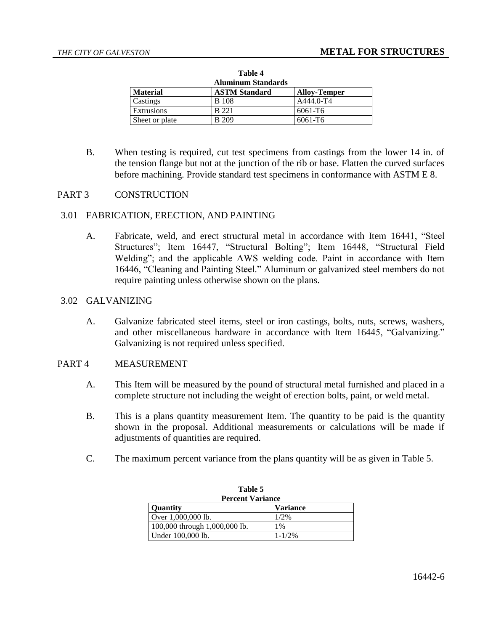| таше ч<br><b>Aluminum Standards</b> |                      |                     |  |
|-------------------------------------|----------------------|---------------------|--|
| <b>Material</b>                     | <b>ASTM Standard</b> | <b>Alloy-Temper</b> |  |
| Castings                            | <b>B</b> 108         | $A444.0 - T4$       |  |
| Extrusions                          | <b>B</b> 221         | 6061-T6             |  |
| Sheet or plate                      | <b>B</b> 209         | 6061-T6             |  |

**Table 4**

B. When testing is required, cut test specimens from castings from the lower 14 in. of the tension flange but not at the junction of the rib or base. Flatten the curved surfaces before machining. Provide standard test specimens in conformance with ASTM E 8.

## PART 3 CONSTRUCTION

### 3.01 FABRICATION, ERECTION, AND PAINTING

A. Fabricate, weld, and erect structural metal in accordance with Item 16441, "Steel Structures"; Item 16447, "Structural Bolting"; Item 16448, "Structural Field Welding"; and the applicable AWS welding code. Paint in accordance with Item 16446, "Cleaning and Painting Steel." Aluminum or galvanized steel members do not require painting unless otherwise shown on the plans.

### 3.02 GALVANIZING

A. Galvanize fabricated steel items, steel or iron castings, bolts, nuts, screws, washers, and other miscellaneous hardware in accordance with Item 16445, "Galvanizing." Galvanizing is not required unless specified.

### PART 4 MEASUREMENT

- A. This Item will be measured by the pound of structural metal furnished and placed in a complete structure not including the weight of erection bolts, paint, or weld metal.
- B. This is a plans quantity measurement Item. The quantity to be paid is the quantity shown in the proposal. Additional measurements or calculations will be made if adjustments of quantities are required.
- C. The maximum percent variance from the plans quantity will be as given in Table 5.

| Table 5                       |                 |  |
|-------------------------------|-----------------|--|
| <b>Percent Variance</b>       |                 |  |
| <b>Ouantity</b>               | <b>Variance</b> |  |
| Over 1,000,000 lb.            | 1/2%            |  |
| 100,000 through 1,000,000 lb. | 1%              |  |
| Under 100,000 lb.             | $1 - 1/2%$      |  |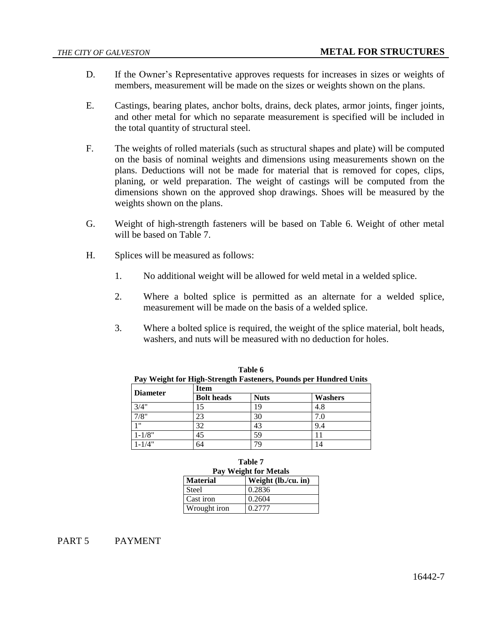- D. If the Owner's Representative approves requests for increases in sizes or weights of members, measurement will be made on the sizes or weights shown on the plans.
- E. Castings, bearing plates, anchor bolts, drains, deck plates, armor joints, finger joints, and other metal for which no separate measurement is specified will be included in the total quantity of structural steel.
- F. The weights of rolled materials (such as structural shapes and plate) will be computed on the basis of nominal weights and dimensions using measurements shown on the plans. Deductions will not be made for material that is removed for copes, clips, planing, or weld preparation. The weight of castings will be computed from the dimensions shown on the approved shop drawings. Shoes will be measured by the weights shown on the plans.
- G. Weight of high-strength fasteners will be based on Table 6. Weight of other metal will be based on Table 7.
- H. Splices will be measured as follows:
	- 1. No additional weight will be allowed for weld metal in a welded splice.
	- 2. Where a bolted splice is permitted as an alternate for a welded splice, measurement will be made on the basis of a welded splice.
	- 3. Where a bolted splice is required, the weight of the splice material, bolt heads, washers, and nuts will be measured with no deduction for holes.

| . <del>. .</del><br><b>Diameter</b> | <b>Item</b>       | $\mathbf{r}$ |         |  |
|-------------------------------------|-------------------|--------------|---------|--|
|                                     | <b>Bolt</b> heads | <b>Nuts</b>  | Washers |  |
| 3/4"                                | 15                | 19           | 4.8     |  |
| 7/8"                                | 23                | 30           | 7.0     |  |
| 111                                 | 32                | 43           | 9.4     |  |
| $1 - 1/8"$                          | 45                | 59           |         |  |
| $1 - 1/4"$                          | 64                | 79           | 14      |  |

|                                                                  | Table 6 |  |
|------------------------------------------------------------------|---------|--|
| Pay Weight for High-Strength Fasteners, Pounds per Hundred Units |         |  |
|                                                                  |         |  |

| <b>Table 7</b><br>Pay Weight for Metals |                     |  |
|-----------------------------------------|---------------------|--|
| <b>Material</b>                         | Weight (lb./cu. in) |  |
| Steel                                   | 0.2836              |  |
| Cast iron                               | 0.2604              |  |
| Wrought iron                            | 0.2777              |  |

PART 5 PAYMENT